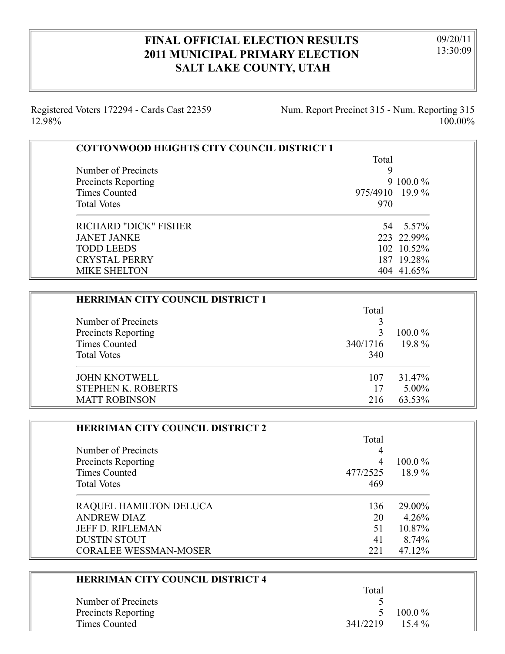## **FINAL OFFICIAL ELECTION RESULTS 2011 MUNICIPAL PRIMARY ELECTION SALT LAKE COUNTY, UTAH**

09/20/11 13:30:09

Registered Voters 172294 - Cards Cast 22359 12.98%

Num. Report Precinct 315 - Num. Reporting 315 100.00%

| <b>COTTONWOOD HEIGHTS CITY COUNCIL DISTRICT 1</b> |                 |
|---------------------------------------------------|-----------------|
|                                                   | Total           |
| Number of Precincts                               | 9               |
| <b>Precincts Reporting</b>                        | $9100.0\%$      |
| Times Counted                                     | 975/4910 19.9 % |
| <b>Total Votes</b>                                | 970             |
| <b>RICHARD "DICK" FISHER</b>                      | 54 5.57%        |
| <b>JANET JANKE</b>                                | 223 22.99%      |
| <b>TODD LEEDS</b>                                 | 102 10.52%      |
| <b>CRYSTAL PERRY</b>                              | 187 19.28%      |
| <b>MIKE SHELTON</b>                               | 404 41.65%      |

| <b>HERRIMAN CITY COUNCIL DISTRICT 1</b> |          |           |
|-----------------------------------------|----------|-----------|
|                                         | Total    |           |
| Number of Precincts                     |          |           |
| Precincts Reporting                     |          | $100.0\%$ |
| <b>Times Counted</b>                    | 340/1716 | $19.8\%$  |
| <b>Total Votes</b>                      | 340      |           |
| <b>JOHN KNOTWELL</b>                    | 107      | 31.47%    |
| STEPHEN K. ROBERTS                      | 17       | $5.00\%$  |
| <b>MATT ROBINSON</b>                    | 216      | 63.53%    |

| <b>HERRIMAN CITY COUNCIL DISTRICT 2</b> |          |           |
|-----------------------------------------|----------|-----------|
|                                         | Total    |           |
| Number of Precincts                     | 4        |           |
| <b>Precincts Reporting</b>              | 4        | $100.0\%$ |
| Times Counted                           | 477/2525 | $18.9\%$  |
| <b>Total Votes</b>                      | 469      |           |
| RAQUEL HAMILTON DELUCA                  | 136      | 29.00%    |
| <b>ANDREW DIAZ</b>                      | 20       | 4.26%     |
| <b>JEFF D. RIFLEMAN</b>                 | 51       | 10.87%    |
| <b>DUSTIN STOUT</b>                     | 41       | 8.74%     |
| <b>CORALEE WESSMAN-MOSER</b>            | 221      | 47.12%    |

| <b>HERRIMAN CITY COUNCIL DISTRICT 4</b> |                      |           |
|-----------------------------------------|----------------------|-----------|
|                                         | Total                |           |
| Number of Precincts                     |                      |           |
| <b>Precincts Reporting</b>              | $\ddot{\phantom{1}}$ | $100.0\%$ |
| Times Counted                           | 341/2219             | $154\%$   |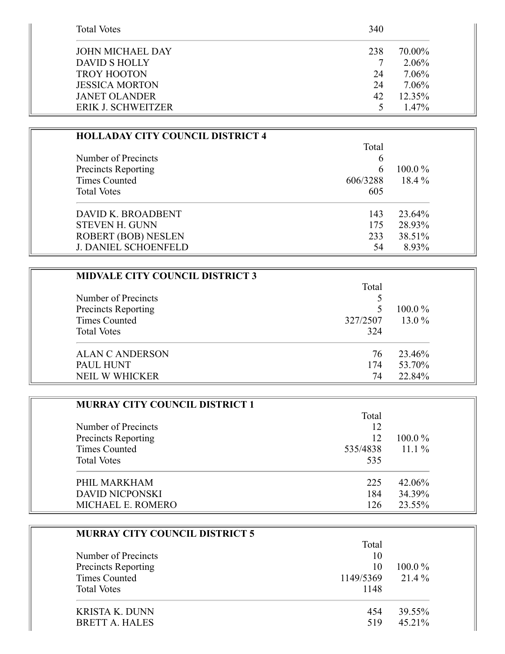| <b>Total Votes</b>      | 340 |          |
|-------------------------|-----|----------|
| <b>JOHN MICHAEL DAY</b> | 238 | 70.00%   |
| DAVID S HOLLY           |     | 2.06%    |
| <b>TROY HOOTON</b>      | 24  | 7.06%    |
| <b>JESSICA MORTON</b>   | 24  | 7.06%    |
| <b>JANET OLANDER</b>    | 42  | 12.35%   |
| ERIK J. SCHWEITZER      |     | $1.47\%$ |

| <b>HOLLADAY CITY COUNCIL DISTRICT 4</b>                     |               |                       |
|-------------------------------------------------------------|---------------|-----------------------|
|                                                             | Total         |                       |
| Number of Precincts<br>Precincts Reporting<br>Times Counted | $\sigma$      | $100.0\%$<br>$18.4\%$ |
|                                                             | 6<br>606/3288 |                       |
|                                                             |               |                       |
| DAVID K. BROADBENT                                          | 143           | 23.64%                |
| <b>STEVEN H. GUNN</b>                                       | 175           | 28.93%                |
| <b>ROBERT (BOB) NESLEN</b>                                  | 233           | 38.51%                |
| <b>J. DANIEL SCHOENFELD</b>                                 | 54            | 8.93%                 |

| <b>MIDVALE CITY COUNCIL DISTRICT 3</b> |          |           |
|----------------------------------------|----------|-----------|
| Number of Precincts                    | Total    |           |
|                                        |          |           |
| Precincts Reporting                    |          | $100.0\%$ |
| Times Counted                          | 327/2507 | $13.0\%$  |
| <b>Total Votes</b>                     | 324      |           |
| <b>ALAN C ANDERSON</b>                 | 76       | 23.46%    |
| PAUL HUNT                              | 174      | 53.70%    |
| <b>NEIL W WHICKER</b>                  | 74       | 22.84%    |

| <b>MURRAY CITY COUNCIL DISTRICT 1</b> |          |           |
|---------------------------------------|----------|-----------|
|                                       | Total    |           |
| Number of Precincts                   | 12       |           |
| <b>Precincts Reporting</b>            | 12       | $100.0\%$ |
| <b>Times Counted</b>                  | 535/4838 | $11.1\%$  |
| <b>Total Votes</b>                    | 535      |           |
| PHIL MARKHAM                          | 225      | 42.06%    |
| <b>DAVID NICPONSKI</b>                | 184      | 34.39%    |
| MICHAEL E. ROMERO                     | 126      | 23.55%    |

| <b>MURRAY CITY COUNCIL DISTRICT 5</b> |           |           |
|---------------------------------------|-----------|-----------|
|                                       | Total     |           |
| Number of Precincts                   | 10        |           |
| <b>Precincts Reporting</b>            | 10        | $100.0\%$ |
| <b>Times Counted</b>                  | 1149/5369 | 21.4 %    |
| <b>Total Votes</b>                    | 1148      |           |
| KRISTA K. DUNN                        | 454       | 39.55%    |
| <b>BRETT A. HALES</b>                 | 519       | 45.21%    |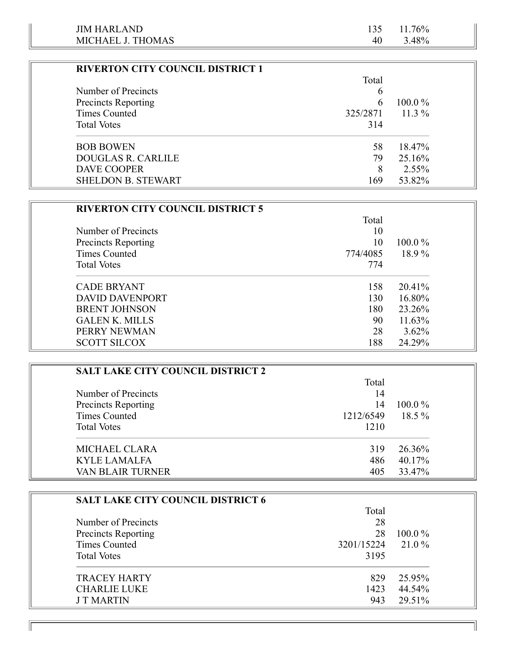| <b>JIM HARLAND</b><br>MICHAEL J. THOMAS | 135<br>40 | 11.76%<br>3.48% |
|-----------------------------------------|-----------|-----------------|
|                                         |           |                 |
| <b>RIVERTON CITY COUNCIL DISTRICT 1</b> |           |                 |
|                                         | Total     |                 |
| Number of Precincts                     | 6         |                 |
| <b>Precincts Reporting</b>              | 6         | $100.0\%$       |
| Times Counted                           | 325/2871  | $11.3\%$        |
| <b>Total Votes</b>                      | 314       |                 |
| <b>BOB BOWEN</b>                        | 58        | 18.47%          |
| <b>DOUGLAS R. CARLILE</b>               | 79        | 25.16%          |
| <b>DAVE COOPER</b>                      | 8         | $2.55\%$        |
| <b>SHELDON B. STEWART</b>               | 169       | 53.82%          |

| <b>RIVERTON CITY COUNCIL DISTRICT 5</b> |          |           |
|-----------------------------------------|----------|-----------|
|                                         | Total    |           |
| Number of Precincts                     | 10       |           |
| <b>Precincts Reporting</b>              | 10       | $100.0\%$ |
| Times Counted                           | 774/4085 | 18.9%     |
| <b>Total Votes</b>                      | 774      |           |
| <b>CADE BRYANT</b>                      | 158      | 20.41%    |
| <b>DAVID DAVENPORT</b>                  | 130      | 16.80%    |
| <b>BRENT JOHNSON</b>                    | 180      | 23.26%    |
| <b>GALEN K. MILLS</b>                   | 90       | 11.63%    |
| PERRY NEWMAN                            | 28       | 3.62%     |
| <b>SCOTT SILCOX</b>                     | 188      | 24.29%    |

| <b>SALT LAKE CITY COUNCIL DISTRICT 2</b>   |           |           |  |
|--------------------------------------------|-----------|-----------|--|
| Number of Precincts<br>Precincts Reporting | Total     |           |  |
|                                            | 14<br>14  |           |  |
|                                            |           | $100.0\%$ |  |
| <b>Times Counted</b>                       | 1212/6549 | $18.5\%$  |  |
| <b>Total Votes</b>                         | 1210      |           |  |
| MICHAEL CLARA                              | 319       | 26.36%    |  |
| <b>KYLE LAMALFA</b>                        | 486       | 40.17%    |  |
| <b>VAN BLAIR TURNER</b>                    | 405       | 33.47%    |  |

| <b>SALT LAKE CITY COUNCIL DISTRICT 6</b> |            |           |
|------------------------------------------|------------|-----------|
|                                          | Total      |           |
| Number of Precincts                      | 28         |           |
| Precincts Reporting                      | 28         | $100.0\%$ |
| Times Counted                            | 3201/15224 | $21.0\%$  |
| <b>Total Votes</b>                       | 3195       |           |
| <b>TRACEY HARTY</b>                      | 829        | 25.95%    |
| <b>CHARLIE LUKE</b>                      | 1423       | 44.54%    |
| <b>JT MARTIN</b>                         | 943        | 29.51%    |

 $\mathbb{F}$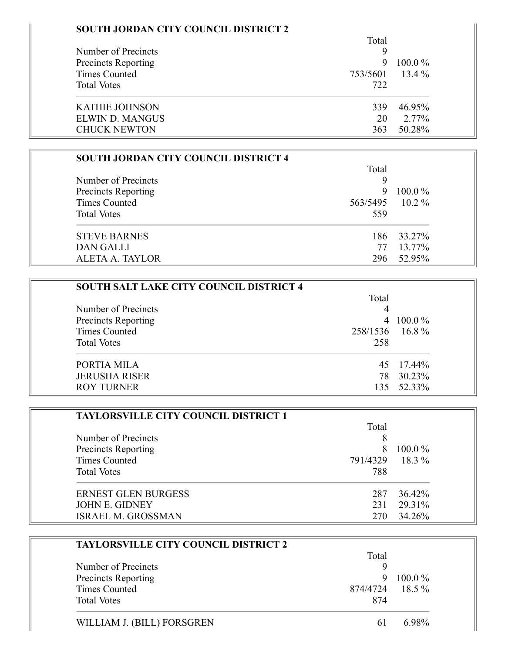| <b>SOUTH JORDAN CITY COUNCIL DISTRICT 2</b> |               |                       |  |
|---------------------------------------------|---------------|-----------------------|--|
|                                             | Total         |                       |  |
| Number of Precincts                         | 9             |                       |  |
| <b>Precincts Reporting</b>                  | 9<br>753/5601 | $100.0\%$<br>$13.4\%$ |  |
| Times Counted                               |               |                       |  |
| <b>Total Votes</b>                          | 722           |                       |  |
| <b>KATHIE JOHNSON</b>                       | 339           | 46.95%                |  |
| <b>ELWIN D. MANGUS</b>                      | 20            | 2.77%                 |  |
| <b>CHUCK NEWTON</b>                         | 363           | 50.28%                |  |

| <b>SOUTH JORDAN CITY COUNCIL DISTRICT 4</b> |          |           |
|---------------------------------------------|----------|-----------|
|                                             | Total    |           |
| Number of Precincts                         |          |           |
| Precincts Reporting                         | 9        | $100.0\%$ |
| <b>Times Counted</b>                        | 563/5495 | $10.2\%$  |
| <b>Total Votes</b>                          | 559      |           |
| <b>STEVE BARNES</b>                         | 186      | 33.27%    |
| <b>DAN GALLI</b>                            | 77       | 13.77%    |
| ALETA A. TAYLOR                             | 296      | 52.95%    |

Ξ

| <b>SOUTH SALT LAKE CITY COUNCIL DISTRICT 4</b> |                |              |  |
|------------------------------------------------|----------------|--------------|--|
|                                                | Total          |              |  |
| Number of Precincts                            | 4              |              |  |
| Precincts Reporting                            |                | 4 100.0 $\%$ |  |
| Times Counted                                  | 258/1536 16.8% |              |  |
| <b>Total Votes</b>                             | 258            |              |  |
| PORTIA MILA                                    |                | 45 17.44%    |  |
| <b>JERUSHA RISER</b>                           | 78             | 30.23%       |  |
| <b>ROY TURNER</b>                              |                | 135 52.33%   |  |

| <b>TAYLORSVILLE CITY COUNCIL DISTRICT 1</b> |          |           |
|---------------------------------------------|----------|-----------|
|                                             | Total    |           |
| Number of Precincts                         | 8        |           |
| <b>Precincts Reporting</b>                  | 8        | $100.0\%$ |
| <b>Times Counted</b>                        | 791/4329 | $18.3\%$  |
| <b>Total Votes</b>                          | 788      |           |
| <b>ERNEST GLEN BURGESS</b>                  | 287      | 36.42%    |
| <b>JOHN E. GIDNEY</b>                       | 231      | 29.31%    |
| <b>ISRAEL M. GROSSMAN</b>                   | 270      | 34.26%    |

|                      | Total    |           |
|----------------------|----------|-----------|
| Number of Precincts  |          |           |
| Precincts Reporting  | 9        | $100.0\%$ |
| <b>Times Counted</b> | 874/4724 | $18.5\%$  |
| <b>Total Votes</b>   | 874      |           |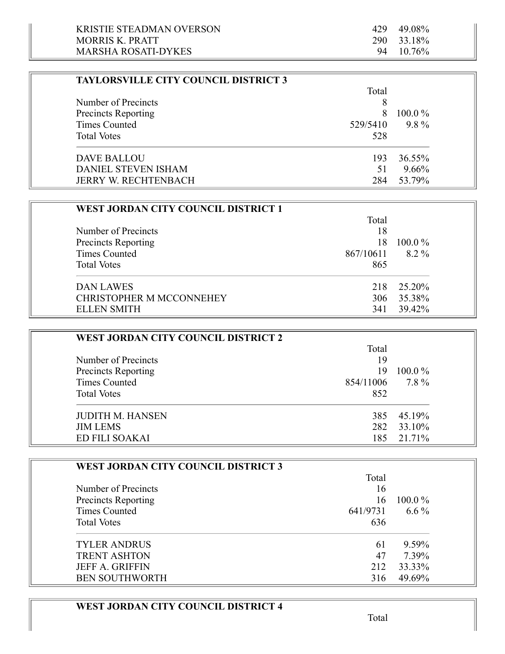| <b>TAYLORSVILLE CITY COUNCIL DISTRICT 3</b> |          |           |
|---------------------------------------------|----------|-----------|
|                                             | Total    |           |
| Number of Precincts                         | 8        |           |
| <b>Precincts Reporting</b>                  | 8        | $100.0\%$ |
| Times Counted                               | 529/5410 | $9.8\%$   |
| <b>Total Votes</b>                          | 528      |           |
| DAVE BALLOU                                 | 193      | 36.55%    |
| <b>DANIEL STEVEN ISHAM</b>                  | 51       | $9.66\%$  |
| <b>JERRY W. RECHTENBACH</b>                 | 284      | 53.79%    |

| WEST JORDAN CITY COUNCIL DISTRICT 1 |           |           |
|-------------------------------------|-----------|-----------|
|                                     | Total     |           |
| Number of Precincts                 | 18        |           |
| Precincts Reporting                 | 18        | $100.0\%$ |
| Times Counted                       | 867/10611 | $8.2\%$   |
| <b>Total Votes</b>                  | 865       |           |
| <b>DAN LAWES</b>                    | 218       | 25.20%    |
| <b>CHRISTOPHER M MCCONNEHEY</b>     | 306       | 35.38%    |
| <b>ELLEN SMITH</b>                  | 341       | 39.42%    |

| WEST JORDAN CITY COUNCIL DISTRICT 2 |           |           |  |
|-------------------------------------|-----------|-----------|--|
|                                     | Total     |           |  |
| Number of Precincts                 | 19        |           |  |
| <b>Precincts Reporting</b>          | 19        | $100.0\%$ |  |
| <b>Times Counted</b>                | 854/11006 | 7.8%      |  |
| <b>Total Votes</b>                  | 852       |           |  |
| <b>JUDITH M. HANSEN</b>             | 385       | 45.19%    |  |
| <b>JIM LEMS</b>                     | 282       | 33.10%    |  |
| <b>ED FILI SOAKAI</b>               | 185       | 21.71%    |  |

| <b>WEST JORDAN CITY COUNCIL DISTRICT 3</b> |          |           |
|--------------------------------------------|----------|-----------|
|                                            | Total    |           |
| Number of Precincts                        | 16       |           |
| <b>Precincts Reporting</b>                 | 16       | $100.0\%$ |
| Times Counted                              | 641/9731 | $6.6\%$   |
| <b>Total Votes</b>                         | 636      |           |
| <b>TYLER ANDRUS</b>                        | 61       | 9.59%     |
| <b>TRENT ASHTON</b>                        | 47       | 7.39%     |
| <b>JEFF A. GRIFFIN</b>                     | 212      | 33.33%    |
| <b>BEN SOUTHWORTH</b>                      | 316      | 49.69%    |

## **WEST JORDAN CITY COUNCIL DISTRICT 4**